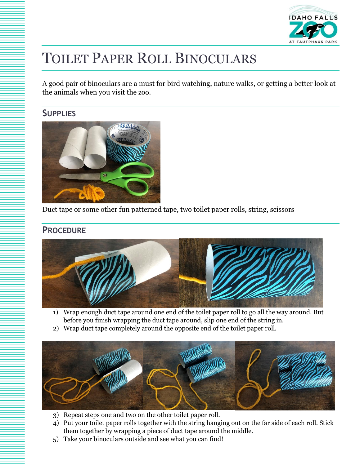

## TOILET PAPER ROLL BINOCULARS

A good pair of binoculars are a must for bird watching, nature walks, or getting a better look at the animals when you visit the zoo.

## **SUPPLIES**



Duct tape or some other fun patterned tape, two toilet paper rolls, string, scissors

## **PROCEDURE**



- 1) Wrap enough duct tape around one end of the toilet paper roll to go all the way around. But before you finish wrapping the duct tape around, slip one end of the string in.
- 2) Wrap duct tape completely around the opposite end of the toilet paper roll.



- 3) Repeat steps one and two on the other toilet paper roll.
- 4) Put your toilet paper rolls together with the string hanging out on the far side of each roll. Stick them together by wrapping a piece of duct tape around the middle.
- 5) Take your binoculars outside and see what you can find!